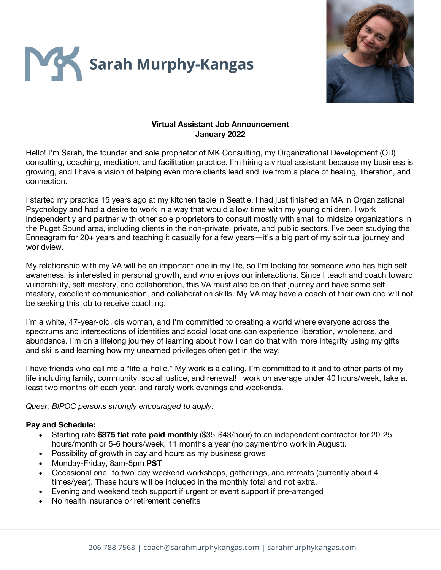



### **Virtual Assistant Job Announcement January 2022**

Hello! I'm Sarah, the founder and sole proprietor of MK Consulting, my Organizational Development (OD) consulting, coaching, mediation, and facilitation practice. I'm hiring a virtual assistant because my business is growing, and I have a vision of helping even more clients lead and live from a place of healing, liberation, and connection.

I started my practice 15 years ago at my kitchen table in Seattle. I had just finished an MA in Organizational Psychology and had a desire to work in a way that would allow time with my young children. I work independently and partner with other sole proprietors to consult mostly with small to midsize organizations in the Puget Sound area, including clients in the non-private, private, and public sectors. I've been studying the Enneagram for 20+ years and teaching it casually for a few years—it's a big part of my spiritual journey and worldview.

My relationship with my VA will be an important one in my life, so I'm looking for someone who has high selfawareness, is interested in personal growth, and who enjoys our interactions. Since I teach and coach toward vulnerability, self-mastery, and collaboration, this VA must also be on that journey and have some selfmastery, excellent communication, and collaboration skills. My VA may have a coach of their own and will not be seeking this job to receive coaching.

I'm a white, 47-year-old, cis woman, and I'm committed to creating a world where everyone across the spectrums and intersections of identities and social locations can experience liberation, wholeness, and abundance. I'm on a lifelong journey of learning about how I can do that with more integrity using my gifts and skills and learning how my unearned privileges often get in the way.

I have friends who call me a "life-a-holic." My work is a calling. I'm committed to it and to other parts of my life including family, community, social justice, and renewal! I work on average under 40 hours/week, take at least two months off each year, and rarely work evenings and weekends.

*Queer, BIPOC persons strongly encouraged to apply.*

#### **Pay and Schedule:**

- Starting rate **\$875 flat rate paid monthly** (\$35-\$43/hour) to an independent contractor for 20-25 hours/month or 5-6 hours/week, 11 months a year (no payment/no work in August).
- Possibility of growth in pay and hours as my business grows
- Monday-Friday, 8am-5pm **PST**
- Occasional one- to two-day weekend workshops, gatherings, and retreats (currently about 4 times/year). These hours will be included in the monthly total and not extra.
- Evening and weekend tech support if urgent or event support if pre-arranged
- No health insurance or retirement benefits